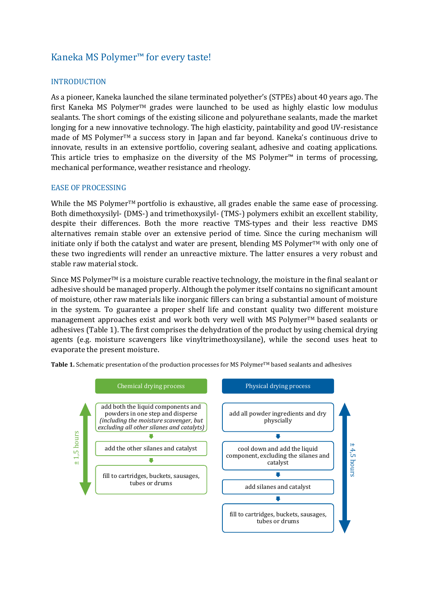# Kaneka MS Polymer™ for every taste!

## INTRODUCTION

As a pioneer, Kaneka launched the silane terminated polyether's (STPEs) about 40 years ago. The first Kaneka MS PolymerTM grades were launched to be used as highly elastic low modulus sealants. The short comings of the existing silicone and polyurethane sealants, made the market longing for a new innovative technology. The high elasticity, paintability and good UV-resistance made of MS PolymerTM a success story in Japan and far beyond. Kaneka's continuous drive to innovate, results in an extensive portfolio, covering sealant, adhesive and coating applications. This article tries to emphasize on the diversity of the MS Polymer™ in terms of processing, mechanical performance, weather resistance and rheology.

#### EASE OF PROCESSING

While the MS Polymer<sup>TM</sup> portfolio is exhaustive, all grades enable the same ease of processing. Both dimethoxysilyl- (DMS-) and trimethoxysilyl- (TMS-) polymers exhibit an excellent stability, despite their differences. Both the more reactive TMS-types and their less reactive DMS alternatives remain stable over an extensive period of time. Since the curing mechanism will initiate only if both the catalyst and water are present, blending MS Polymer<sup>TM</sup> with only one of these two ingredients will render an unreactive mixture. The latter ensures a very robust and stable raw material stock.

Since MS Polymer<sup>™</sup> is a moisture curable reactive technology, the moisture in the final sealant or adhesive should be managed properly. Although the polymer itself contains no significant amount of moisture, other raw materials like inorganic fillers can bring a substantial amount of moisture in the system. To guarantee a proper shelf life and constant quality two different moisture management approaches exist and work both very well with MS Polymer<sup>TM</sup> based sealants or adhesives (Table 1). The first comprises the dehydration of the product by using chemical drying agents (e.g. moisture scavengers like vinyltrimethoxysilane), while the second uses heat to evaporate the present moisture.



Table 1. Schematic presentation of the production processes for MS Polymer™ based sealants and adhesives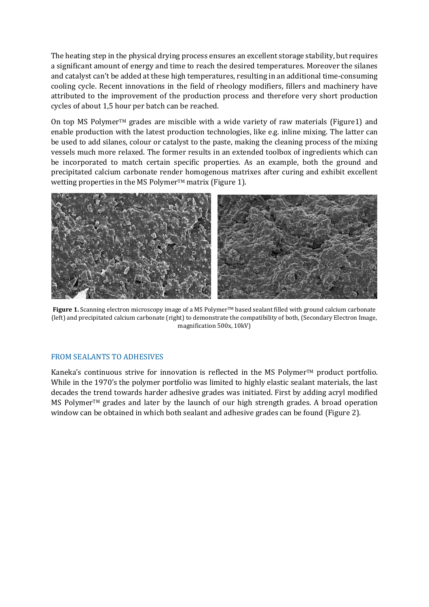The heating step in the physical drying process ensures an excellent storage stability, but requires a significant amount of energy and time to reach the desired temperatures. Moreover the silanes and catalyst can't be added at these high temperatures, resulting in an additional time-consuming cooling cycle. Recent innovations in the field of rheology modifiers, fillers and machinery have attributed to the improvement of the production process and therefore very short production cycles of about 1,5 hour per batch can be reached.

On top MS Polymer<sup>™</sup> grades are miscible with a wide variety of raw materials (Figure1) and enable production with the latest production technologies, like e.g. inline mixing. The latter can be used to add silanes, colour or catalyst to the paste, making the cleaning process of the mixing vessels much more relaxed. The former results in an extended toolbox of ingredients which can be incorporated to match certain specific properties. As an example, both the ground and precipitated calcium carbonate render homogenous matrixes after curing and exhibit excellent wetting properties in the MS Polymer<sup>TM</sup> matrix (Figure 1).



**Figure 1.** Scanning electron microscopy image of a MS Polymer™ based sealant filled with ground calcium carbonate (left) and precipitated calcium carbonate (right) to demonstrate the compatibility of both, (Secondary Electron Image, magnification 500x, 10kV)

### FROM SEALANTS TO ADHESIVES

Kaneka's continuous strive for innovation is reflected in the MS Polymer™ product portfolio. While in the 1970's the polymer portfolio was limited to highly elastic sealant materials, the last decades the trend towards harder adhesive grades was initiated. First by adding acryl modified MS Polymer<sup>TM</sup> grades and later by the launch of our high strength grades. A broad operation window can be obtained in which both sealant and adhesive grades can be found (Figure 2).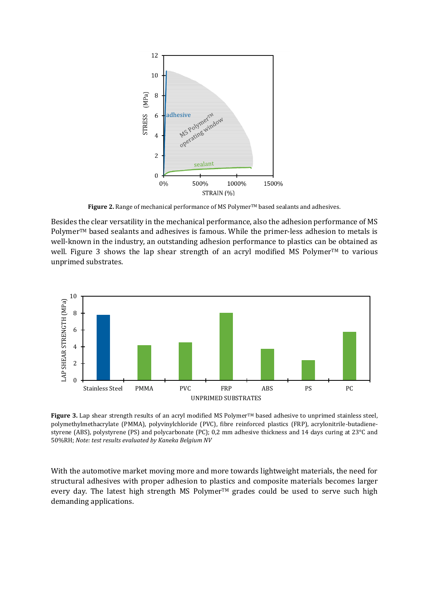

Figure 2. Range of mechanical performance of MS Polymer<sup>™</sup> based sealants and adhesives.

Besides the clear versatility in the mechanical performance, also the adhesion performance of MS Polymer™ based sealants and adhesives is famous. While the primer-less adhesion to metals is well-known in the industry, an outstanding adhesion performance to plastics can be obtained as well. Figure 3 shows the lap shear strength of an acryl modified MS Polymer™ to various unprimed substrates.



**Figure 3.** Lap shear strength results of an acryl modified MS Polymer™ based adhesive to unprimed stainless steel, polymethylmethacrylate (PMMA), polyvinylchloride (PVC), fibre reinforced plastics (FRP), acrylonitrile-butadienestyrene (ABS), polystyrene (PS) and polycarbonate (PC); 0,2 mm adhesive thickness and 14 days curing at 23°C and 50%RH; *Note: test results evaluated by Kaneka Belgium NV*

With the automotive market moving more and more towards lightweight materials, the need for structural adhesives with proper adhesion to plastics and composite materials becomes larger every day. The latest high strength MS Polymer™ grades could be used to serve such high demanding applications.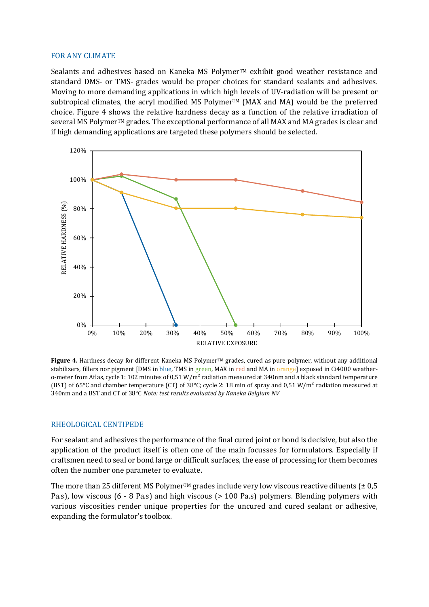#### FOR ANY CLIMATE

Sealants and adhesives based on Kaneka MS Polymer™ exhibit good weather resistance and standard DMS- or TMS- grades would be proper choices for standard sealants and adhesives. Moving to more demanding applications in which high levels of UV-radiation will be present or subtropical climates, the acryl modified MS Polymer<sup>TM</sup> (MAX and MA) would be the preferred choice. Figure 4 shows the relative hardness decay as a function of the relative irradiation of several MS Polymer™ grades. The exceptional performance of all MAX and MA grades is clear and if high demanding applications are targeted these polymers should be selected.



**Figure 4.** Hardness decay for different Kaneka MS Polymer<sup>TM</sup> grades, cured as pure polymer, without any additional stabilizers, fillers nor pigment [DMS in blue, TMS in green, MAX in red and MA in orange] exposed in Ci4000 weathero-meter from Atlas, cycle 1: 102 minutes of 0,51  $W/m^2$  radiation measured at 340nm and a black standard temperature (BST) of 65°C and chamber temperature (CT) of 38°C; cycle 2: 18 min of spray and 0,51 W/m² radiation measured at 340nm and a BST and CT of 38°C *Note: test results evaluated by Kaneka Belgium NV*

#### RHEOLOGICAL CENTIPEDE

For sealant and adhesives the performance of the final cured joint or bond is decisive, but also the application of the product itself is often one of the main focusses for formulators. Especially if craftsmen need to seal or bond large or difficult surfaces, the ease of processing for them becomes often the number one parameter to evaluate.

The more than 25 different MS Polymer<sup>TM</sup> grades include very low viscous reactive diluents ( $\pm$  0,5 Pa.s), low viscous (6 - 8 Pa.s) and high viscous (> 100 Pa.s) polymers. Blending polymers with various viscosities render unique properties for the uncured and cured sealant or adhesive, expanding the formulator's toolbox.